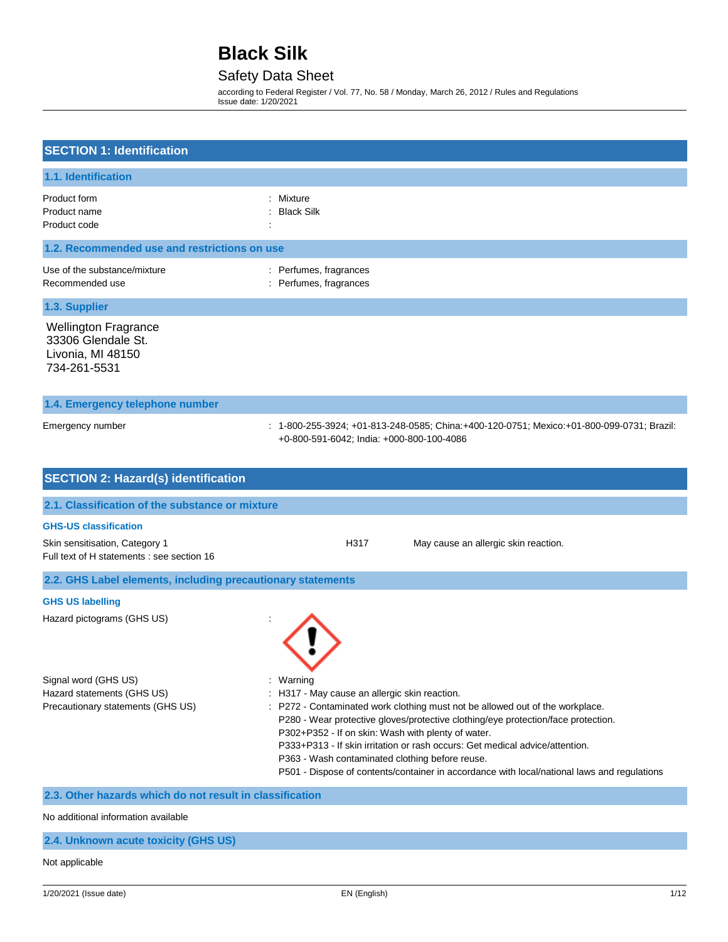## Safety Data Sheet

according to Federal Register / Vol. 77, No. 58 / Monday, March 26, 2012 / Rules and Regulations Issue date: 1/20/2021

| <b>SECTION 1: Identification</b>                                                                                                                    |                                                                                                                                                                                                                                                                                                                                                                                                                                                                                                                      |
|-----------------------------------------------------------------------------------------------------------------------------------------------------|----------------------------------------------------------------------------------------------------------------------------------------------------------------------------------------------------------------------------------------------------------------------------------------------------------------------------------------------------------------------------------------------------------------------------------------------------------------------------------------------------------------------|
| 1.1. Identification                                                                                                                                 |                                                                                                                                                                                                                                                                                                                                                                                                                                                                                                                      |
| Product form<br>Product name<br>Product code                                                                                                        | Mixture<br><b>Black Silk</b>                                                                                                                                                                                                                                                                                                                                                                                                                                                                                         |
| 1.2. Recommended use and restrictions on use                                                                                                        |                                                                                                                                                                                                                                                                                                                                                                                                                                                                                                                      |
| Use of the substance/mixture<br>Recommended use                                                                                                     | : Perfumes, fragrances<br>: Perfumes, fragrances                                                                                                                                                                                                                                                                                                                                                                                                                                                                     |
| 1.3. Supplier                                                                                                                                       |                                                                                                                                                                                                                                                                                                                                                                                                                                                                                                                      |
| <b>Wellington Fragrance</b><br>33306 Glendale St.<br>Livonia, MI 48150<br>734-261-5531                                                              |                                                                                                                                                                                                                                                                                                                                                                                                                                                                                                                      |
| 1.4. Emergency telephone number                                                                                                                     |                                                                                                                                                                                                                                                                                                                                                                                                                                                                                                                      |
| Emergency number                                                                                                                                    | : 1-800-255-3924; +01-813-248-0585; China:+400-120-0751; Mexico:+01-800-099-0731; Brazil:<br>+0-800-591-6042; India: +000-800-100-4086                                                                                                                                                                                                                                                                                                                                                                               |
| <b>SECTION 2: Hazard(s) identification</b>                                                                                                          |                                                                                                                                                                                                                                                                                                                                                                                                                                                                                                                      |
| 2.1. Classification of the substance or mixture                                                                                                     |                                                                                                                                                                                                                                                                                                                                                                                                                                                                                                                      |
| <b>GHS-US classification</b>                                                                                                                        |                                                                                                                                                                                                                                                                                                                                                                                                                                                                                                                      |
| Skin sensitisation, Category 1<br>Full text of H statements : see section 16                                                                        | H317<br>May cause an allergic skin reaction.                                                                                                                                                                                                                                                                                                                                                                                                                                                                         |
| 2.2. GHS Label elements, including precautionary statements                                                                                         |                                                                                                                                                                                                                                                                                                                                                                                                                                                                                                                      |
| <b>GHS US labelling</b>                                                                                                                             |                                                                                                                                                                                                                                                                                                                                                                                                                                                                                                                      |
| Hazard pictograms (GHS US)                                                                                                                          |                                                                                                                                                                                                                                                                                                                                                                                                                                                                                                                      |
| Signal word (GHS US)<br>Hazard statements (GHS US)<br>Precautionary statements (GHS US)<br>2.3. Other hazards which do not result in classification | : Warning<br>H317 - May cause an allergic skin reaction.<br>P272 - Contaminated work clothing must not be allowed out of the workplace.<br>P280 - Wear protective gloves/protective clothing/eye protection/face protection.<br>P302+P352 - If on skin: Wash with plenty of water.<br>P333+P313 - If skin irritation or rash occurs: Get medical advice/attention.<br>P363 - Wash contaminated clothing before reuse.<br>P501 - Dispose of contents/container in accordance with local/national laws and regulations |
|                                                                                                                                                     |                                                                                                                                                                                                                                                                                                                                                                                                                                                                                                                      |

No additional information available

### **2.4. Unknown acute toxicity (GHS US)**

#### Not applicable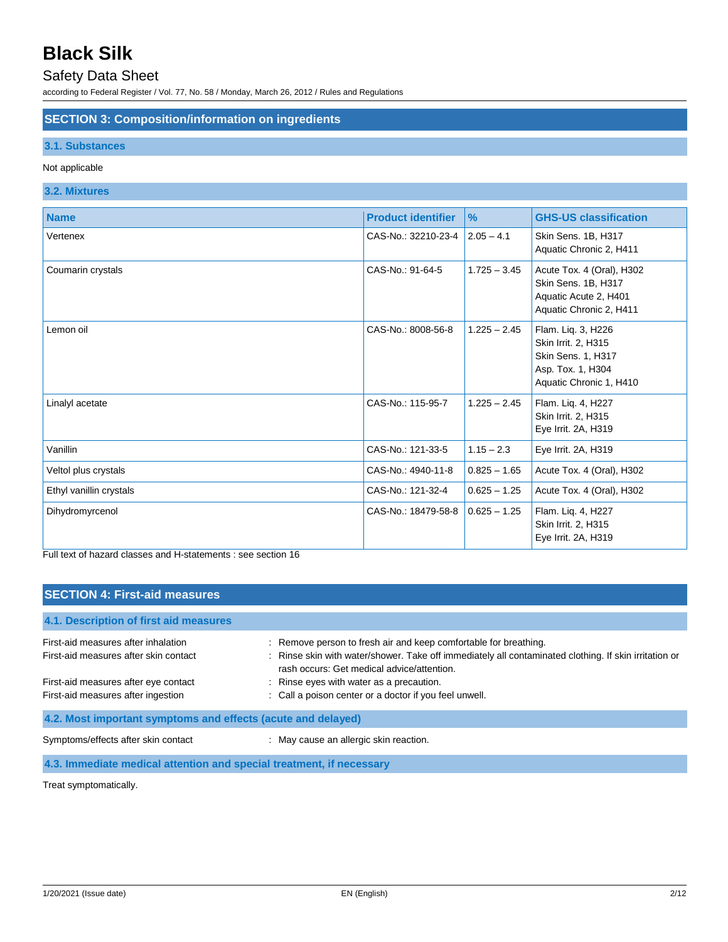## Safety Data Sheet

according to Federal Register / Vol. 77, No. 58 / Monday, March 26, 2012 / Rules and Regulations

### **SECTION 3: Composition/information on ingredients**

### **3.1. Substances**

#### Not applicable

### **3.2. Mixtures**

| <b>Name</b>             | <b>Product identifier</b> | $\%$           | <b>GHS-US classification</b>                                                                                    |
|-------------------------|---------------------------|----------------|-----------------------------------------------------------------------------------------------------------------|
| Vertenex                | CAS-No.: 32210-23-4       | $2.05 - 4.1$   | Skin Sens. 1B, H317<br>Aquatic Chronic 2, H411                                                                  |
| Coumarin crystals       | CAS-No.: 91-64-5          | $1.725 - 3.45$ | Acute Tox. 4 (Oral), H302<br>Skin Sens. 1B, H317<br>Aquatic Acute 2, H401<br>Aquatic Chronic 2, H411            |
| Lemon oil               | CAS-No.: 8008-56-8        | $1.225 - 2.45$ | Flam. Liq. 3, H226<br>Skin Irrit. 2, H315<br>Skin Sens. 1, H317<br>Asp. Tox. 1, H304<br>Aquatic Chronic 1, H410 |
| Linalyl acetate         | CAS-No.: 115-95-7         | $1.225 - 2.45$ | Flam. Liq. 4, H227<br>Skin Irrit. 2, H315<br>Eye Irrit. 2A, H319                                                |
| Vanillin                | CAS-No.: 121-33-5         | $1.15 - 2.3$   | Eye Irrit. 2A, H319                                                                                             |
| Veltol plus crystals    | CAS-No.: 4940-11-8        | $0.825 - 1.65$ | Acute Tox. 4 (Oral), H302                                                                                       |
| Ethyl vanillin crystals | CAS-No.: 121-32-4         | $0.625 - 1.25$ | Acute Tox. 4 (Oral), H302                                                                                       |
| Dihydromyrcenol         | CAS-No.: 18479-58-8       | $0.625 - 1.25$ | Flam. Liq. 4, H227<br>Skin Irrit. 2, H315<br>Eye Irrit. 2A, H319                                                |

Full text of hazard classes and H-statements : see section 16

| <b>SECTION 4: First-aid measures</b>                                         |                                                                                                                                                                                                                       |  |
|------------------------------------------------------------------------------|-----------------------------------------------------------------------------------------------------------------------------------------------------------------------------------------------------------------------|--|
| 4.1. Description of first aid measures                                       |                                                                                                                                                                                                                       |  |
| First-aid measures after inhalation<br>First-aid measures after skin contact | Remove person to fresh air and keep comfortable for breathing.<br>: Rinse skin with water/shower. Take off immediately all contaminated clothing. If skin irritation or<br>rash occurs: Get medical advice/attention. |  |
| First-aid measures after eye contact<br>First-aid measures after ingestion   | : Rinse eyes with water as a precaution.<br>: Call a poison center or a doctor if you feel unwell.                                                                                                                    |  |
| 4.2. Most important symptoms and effects (acute and delayed)                 |                                                                                                                                                                                                                       |  |
| Symptoms/effects after skin contact                                          | : May cause an allergic skin reaction.                                                                                                                                                                                |  |
| 4.3. Immediate medical attention and special treatment, if necessary         |                                                                                                                                                                                                                       |  |

Treat symptomatically.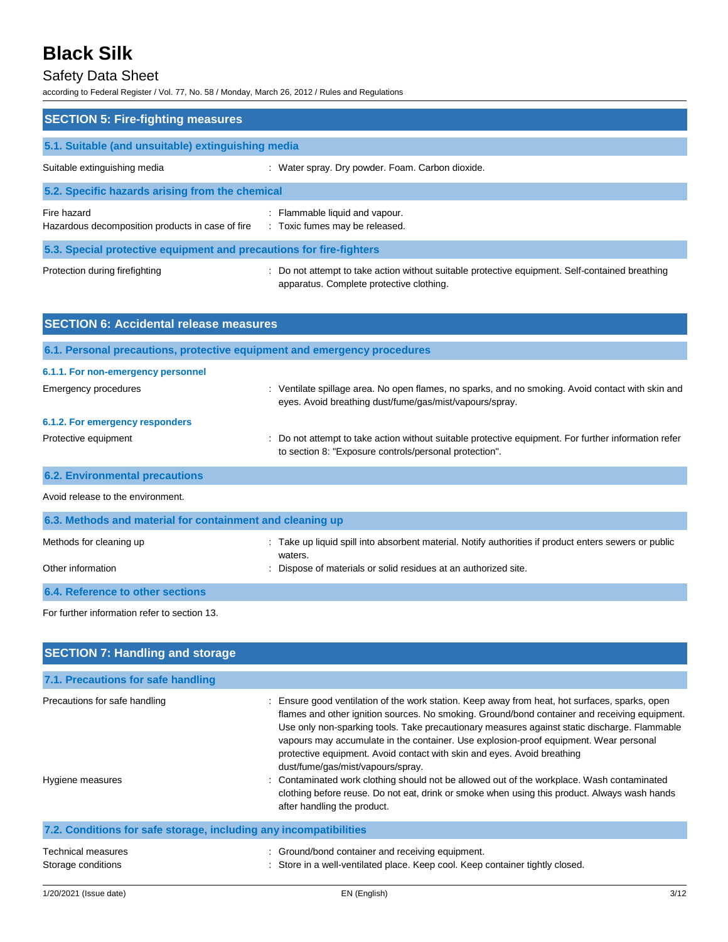## Safety Data Sheet

according to Federal Register / Vol. 77, No. 58 / Monday, March 26, 2012 / Rules and Regulations

| according to Federal Register / Vol. 77, No. 58 / Monday, March 26, 2012 / Rules and Regulations |                                                                                                                                                                                               |  |
|--------------------------------------------------------------------------------------------------|-----------------------------------------------------------------------------------------------------------------------------------------------------------------------------------------------|--|
| <b>SECTION 5: Fire-fighting measures</b>                                                         |                                                                                                                                                                                               |  |
| 5.1. Suitable (and unsuitable) extinguishing media                                               |                                                                                                                                                                                               |  |
| Suitable extinguishing media                                                                     | : Water spray. Dry powder. Foam. Carbon dioxide.                                                                                                                                              |  |
| 5.2. Specific hazards arising from the chemical                                                  |                                                                                                                                                                                               |  |
| Fire hazard<br>Hazardous decomposition products in case of fire                                  | : Flammable liquid and vapour.<br>: Toxic fumes may be released.                                                                                                                              |  |
| 5.3. Special protective equipment and precautions for fire-fighters                              |                                                                                                                                                                                               |  |
| Protection during firefighting                                                                   | : Do not attempt to take action without suitable protective equipment. Self-contained breathing<br>apparatus. Complete protective clothing.                                                   |  |
| <b>SECTION 6: Accidental release measures</b>                                                    |                                                                                                                                                                                               |  |
| 6.1. Personal precautions, protective equipment and emergency procedures                         |                                                                                                                                                                                               |  |
| 6.1.1. For non-emergency personnel                                                               |                                                                                                                                                                                               |  |
| <b>Emergency procedures</b>                                                                      | : Ventilate spillage area. No open flames, no sparks, and no smoking. Avoid contact with skin and<br>eyes. Avoid breathing dust/fume/gas/mist/vapours/spray.                                  |  |
| 6.1.2. For emergency responders                                                                  |                                                                                                                                                                                               |  |
| Protective equipment                                                                             | Do not attempt to take action without suitable protective equipment. For further information refer<br>to section 8: "Exposure controls/personal protection".                                  |  |
| <b>6.2. Environmental precautions</b>                                                            |                                                                                                                                                                                               |  |
| Avoid release to the environment.                                                                |                                                                                                                                                                                               |  |
| 6.3. Methods and material for containment and cleaning up                                        |                                                                                                                                                                                               |  |
| Methods for cleaning up                                                                          | : Take up liquid spill into absorbent material. Notify authorities if product enters sewers or public<br>waters.                                                                              |  |
| Other information                                                                                | Dispose of materials or solid residues at an authorized site.                                                                                                                                 |  |
| <b>6.4. Reference to other sections</b>                                                          |                                                                                                                                                                                               |  |
| For further information refer to section 13.                                                     |                                                                                                                                                                                               |  |
| <b>SECTION 7: Handling and storage</b>                                                           |                                                                                                                                                                                               |  |
| 7.1. Precautions for safe handling                                                               |                                                                                                                                                                                               |  |
| Precautions for safe handling                                                                    | Ensure good ventilation of the work station. Keep away from heat, hot surfaces, sparks, open<br>flames and other ignition sources. No smoking. Ground/bond container and receiving equipment. |  |

Hygiene measures

| : Contaminated work clothing should not be allowed out of the workplace. Wash contaminated   |
|----------------------------------------------------------------------------------------------|
| clothing before reuse. Do not eat, drink or smoke when using this product. Always wash hands |
| after handling the product.                                                                  |

protective equipment. Avoid contact with skin and eyes. Avoid breathing

Use only non-sparking tools. Take precautionary measures against static discharge. Flammable vapours may accumulate in the container. Use explosion-proof equipment. Wear personal

| 7.2. Conditions for safe storage, including any incompatibilities |                                                                               |  |
|-------------------------------------------------------------------|-------------------------------------------------------------------------------|--|
| Technical measures                                                | : Ground/bond container and receiving equipment.                              |  |
| Storage conditions                                                | : Store in a well-ventilated place. Keep cool. Keep container tightly closed. |  |

dust/fume/gas/mist/vapours/spray.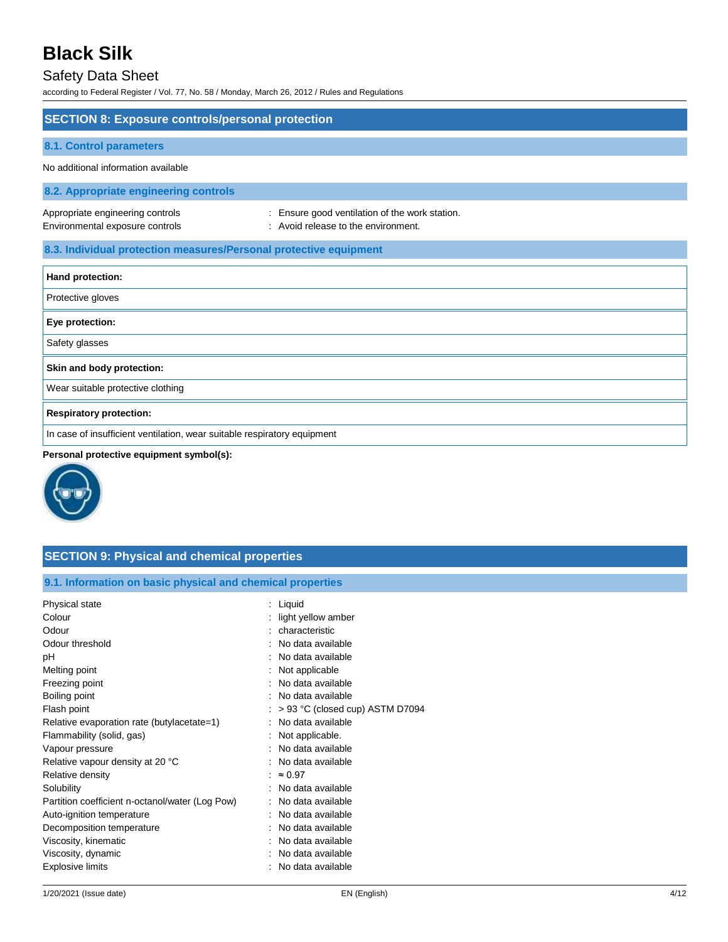## Safety Data Sheet

according to Federal Register / Vol. 77, No. 58 / Monday, March 26, 2012 / Rules and Regulations

| <b>SECTION 8: Exposure controls/personal protection</b>                  |                                                                                       |  |
|--------------------------------------------------------------------------|---------------------------------------------------------------------------------------|--|
| <b>8.1. Control parameters</b>                                           |                                                                                       |  |
| No additional information available                                      |                                                                                       |  |
| 8.2. Appropriate engineering controls                                    |                                                                                       |  |
| Appropriate engineering controls<br>Environmental exposure controls      | : Ensure good ventilation of the work station.<br>: Avoid release to the environment. |  |
| 8.3. Individual protection measures/Personal protective equipment        |                                                                                       |  |
| Hand protection:                                                         |                                                                                       |  |
| Protective gloves                                                        |                                                                                       |  |
| Eye protection:                                                          |                                                                                       |  |
| Safety glasses                                                           |                                                                                       |  |
| Skin and body protection:                                                |                                                                                       |  |
| Wear suitable protective clothing                                        |                                                                                       |  |
| <b>Respiratory protection:</b>                                           |                                                                                       |  |
| In case of insufficient ventilation, wear suitable respiratory equipment |                                                                                       |  |

### **Personal protective equipment symbol(s):**



| <b>SECTION 9: Physical and chemical properties</b>         |                                           |  |
|------------------------------------------------------------|-------------------------------------------|--|
| 9.1. Information on basic physical and chemical properties |                                           |  |
| Physical state                                             | $:$ Liquid                                |  |
| Colour                                                     | : light yellow amber                      |  |
| Odour                                                      | : characteristic                          |  |
| Odour threshold                                            | : No data available                       |  |
| pH                                                         | : No data available                       |  |
| Melting point                                              | : Not applicable                          |  |
| Freezing point                                             | : No data available                       |  |
| Boiling point                                              | : No data available                       |  |
| Flash point                                                | $\approx$ > 93 °C (closed cup) ASTM D7094 |  |
| Relative evaporation rate (butylacetate=1)                 | : No data available                       |  |
| Flammability (solid, gas)                                  | : Not applicable.                         |  |
| Vapour pressure                                            | : No data available                       |  |
| Relative vapour density at 20 °C                           | : No data available                       |  |
| Relative density                                           | : $\approx 0.97$                          |  |
| Solubility                                                 | : No data available                       |  |
| Partition coefficient n-octanol/water (Log Pow)            | : No data available                       |  |
| Auto-ignition temperature                                  | : No data available                       |  |
| Decomposition temperature                                  | : No data available                       |  |
| Viscosity, kinematic                                       | : No data available                       |  |
| Viscosity, dynamic                                         | : No data available                       |  |
| <b>Explosive limits</b>                                    | No data available                         |  |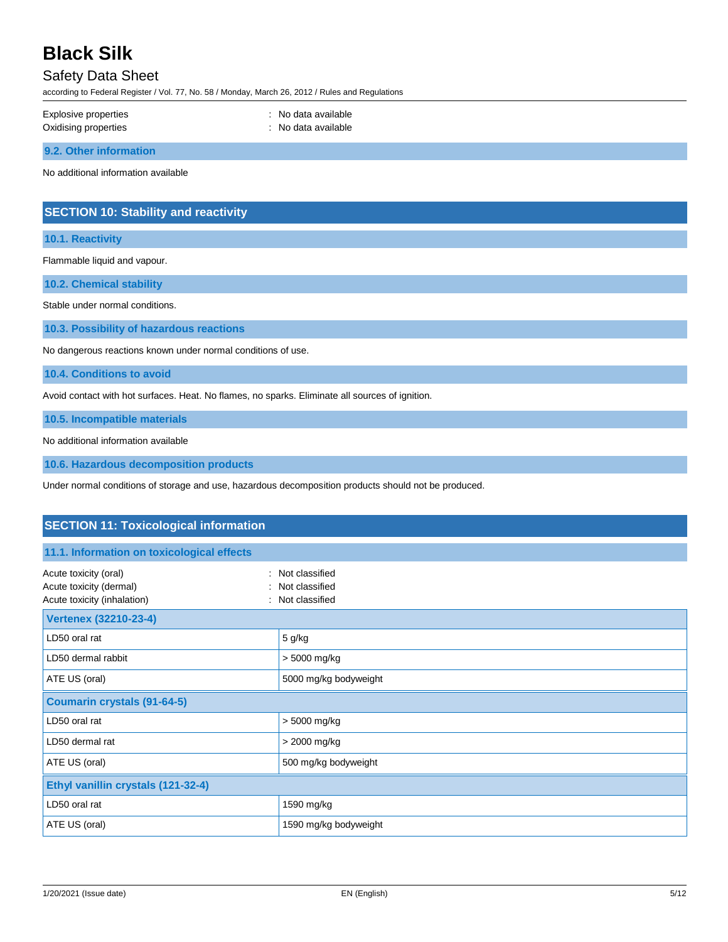## Safety Data Sheet

according to Federal Register / Vol. 77, No. 58 / Monday, March 26, 2012 / Rules and Regulations

| Explosive properties   | : No data available |
|------------------------|---------------------|
| Oxidising properties   | No data available   |
| 9.2. Other information |                     |

No additional information available

## **SECTION 10: Stability and reactivity**

**10.1. Reactivity**

Flammable liquid and vapour.

**10.2. Chemical stability**

Stable under normal conditions.

**10.3. Possibility of hazardous reactions**

No dangerous reactions known under normal conditions of use.

**10.4. Conditions to avoid**

Avoid contact with hot surfaces. Heat. No flames, no sparks. Eliminate all sources of ignition.

**10.5. Incompatible materials**

No additional information available

**10.6. Hazardous decomposition products**

Under normal conditions of storage and use, hazardous decomposition products should not be produced.

| <b>SECTION 11: Toxicological information</b>                                    |                                                      |  |
|---------------------------------------------------------------------------------|------------------------------------------------------|--|
| 11.1. Information on toxicological effects                                      |                                                      |  |
| Acute toxicity (oral)<br>Acute toxicity (dermal)<br>Acute toxicity (inhalation) | : Not classified<br>Not classified<br>Not classified |  |
| <b>Vertenex (32210-23-4)</b>                                                    |                                                      |  |
| LD50 oral rat                                                                   | 5 g/kg                                               |  |
| LD50 dermal rabbit                                                              | > 5000 mg/kg                                         |  |
| ATE US (oral)                                                                   | 5000 mg/kg bodyweight                                |  |
| <b>Coumarin crystals (91-64-5)</b>                                              |                                                      |  |
| LD50 oral rat                                                                   | > 5000 mg/kg                                         |  |
| LD50 dermal rat                                                                 | > 2000 mg/kg                                         |  |
| ATE US (oral)                                                                   | 500 mg/kg bodyweight                                 |  |
| Ethyl vanillin crystals (121-32-4)                                              |                                                      |  |
| LD50 oral rat                                                                   | 1590 mg/kg                                           |  |
| ATE US (oral)                                                                   | 1590 mg/kg bodyweight                                |  |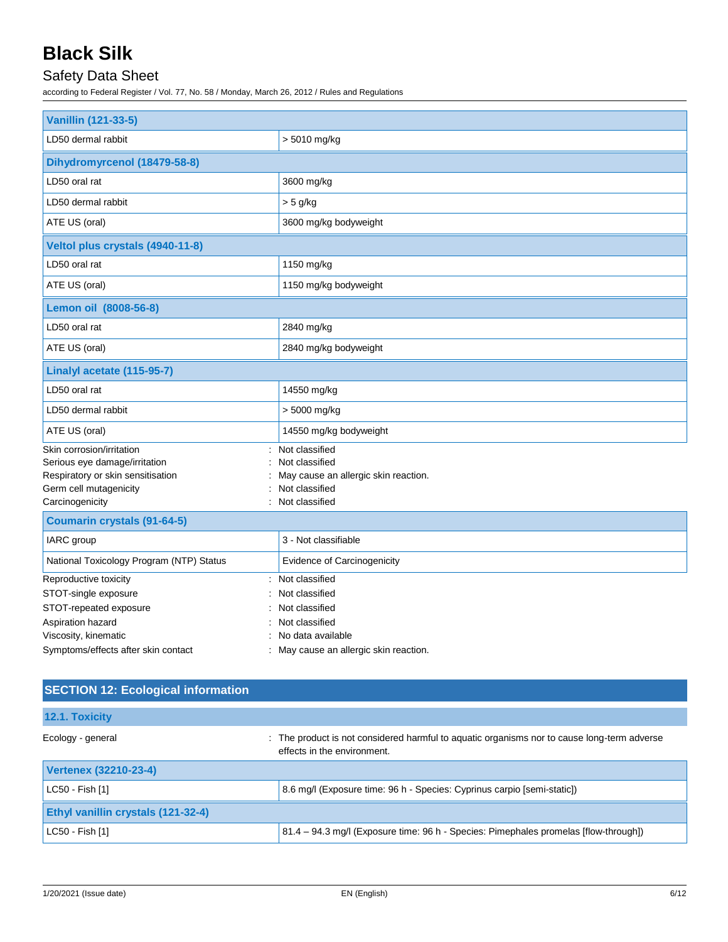# Safety Data Sheet

according to Federal Register / Vol. 77, No. 58 / Monday, March 26, 2012 / Rules and Regulations

| <b>Vanillin (121-33-5)</b>                                                                                                                   |                                                                                                              |  |
|----------------------------------------------------------------------------------------------------------------------------------------------|--------------------------------------------------------------------------------------------------------------|--|
| LD50 dermal rabbit                                                                                                                           | > 5010 mg/kg                                                                                                 |  |
| Dihydromyrcenol (18479-58-8)                                                                                                                 |                                                                                                              |  |
| LD50 oral rat                                                                                                                                | 3600 mg/kg                                                                                                   |  |
| LD50 dermal rabbit                                                                                                                           | $> 5$ g/kg                                                                                                   |  |
| ATE US (oral)                                                                                                                                | 3600 mg/kg bodyweight                                                                                        |  |
| Veltol plus crystals (4940-11-8)                                                                                                             |                                                                                                              |  |
| LD50 oral rat                                                                                                                                | 1150 mg/kg                                                                                                   |  |
| ATE US (oral)                                                                                                                                | 1150 mg/kg bodyweight                                                                                        |  |
| Lemon oil (8008-56-8)                                                                                                                        |                                                                                                              |  |
| LD50 oral rat                                                                                                                                | 2840 mg/kg                                                                                                   |  |
| ATE US (oral)                                                                                                                                | 2840 mg/kg bodyweight                                                                                        |  |
| Linalyl acetate (115-95-7)                                                                                                                   |                                                                                                              |  |
| LD50 oral rat                                                                                                                                | 14550 mg/kg                                                                                                  |  |
| LD50 dermal rabbit                                                                                                                           | > 5000 mg/kg                                                                                                 |  |
| ATE US (oral)                                                                                                                                | 14550 mg/kg bodyweight                                                                                       |  |
| Skin corrosion/irritation<br>Serious eye damage/irritation<br>Respiratory or skin sensitisation<br>Germ cell mutagenicity<br>Carcinogenicity | Not classified<br>Not classified<br>May cause an allergic skin reaction.<br>Not classified<br>Not classified |  |
| <b>Coumarin crystals (91-64-5)</b>                                                                                                           |                                                                                                              |  |
| IARC group                                                                                                                                   | 3 - Not classifiable                                                                                         |  |
| National Toxicology Program (NTP) Status                                                                                                     | Evidence of Carcinogenicity                                                                                  |  |
| Reproductive toxicity<br>STOT-single exposure<br>STOT-repeated exposure<br>Aspiration hazard                                                 | : Not classified<br>Not classified<br>Not classified<br>Not classified                                       |  |
| Viscosity, kinematic<br>Symptoms/effects after skin contact                                                                                  | No data available<br>May cause an allergic skin reaction.                                                    |  |

## **SECTION 12: Ecological information**

| 12.1. Toxicity                            |                                                                                                                            |  |
|-------------------------------------------|----------------------------------------------------------------------------------------------------------------------------|--|
| Ecology - general                         | : The product is not considered harmful to aquatic organisms nor to cause long-term adverse<br>effects in the environment. |  |
| <b>Vertenex (32210-23-4)</b>              |                                                                                                                            |  |
| $ $ LC50 - Fish [1]                       | 8.6 mg/l (Exposure time: 96 h - Species: Cyprinus carpio [semi-static])                                                    |  |
| <b>Ethyl vanillin crystals (121-32-4)</b> |                                                                                                                            |  |
| $ $ LC50 - Fish [1]                       | 81.4 - 94.3 mg/l (Exposure time: 96 h - Species: Pimephales promelas [flow-through])                                       |  |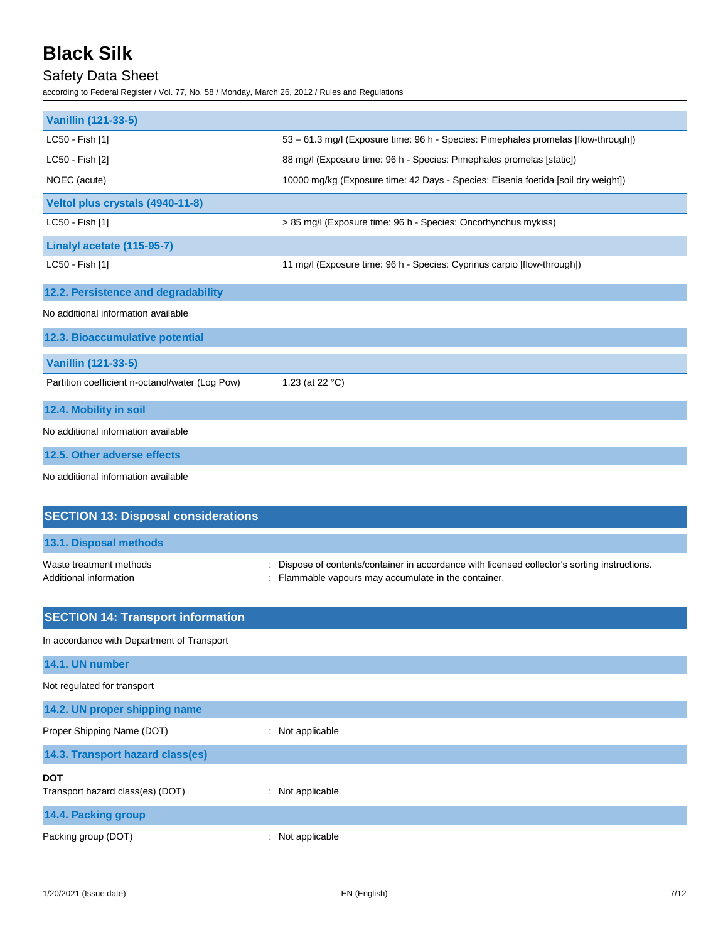## Safety Data Sheet

according to Federal Register / Vol. 77, No. 58 / Monday, March 26, 2012 / Rules and Regulations

| <b>Vanillin (121-33-5)</b>                        |                                                                                                                                                   |  |
|---------------------------------------------------|---------------------------------------------------------------------------------------------------------------------------------------------------|--|
| LC50 - Fish [1]                                   | 53 - 61.3 mg/l (Exposure time: 96 h - Species: Pimephales promelas [flow-through])                                                                |  |
| LC50 - Fish [2]                                   | 88 mg/l (Exposure time: 96 h - Species: Pimephales promelas [static])                                                                             |  |
| NOEC (acute)                                      | 10000 mg/kg (Exposure time: 42 Days - Species: Eisenia foetida [soil dry weight])                                                                 |  |
| Veltol plus crystals (4940-11-8)                  |                                                                                                                                                   |  |
| LC50 - Fish [1]                                   | > 85 mg/l (Exposure time: 96 h - Species: Oncorhynchus mykiss)                                                                                    |  |
| Linalyl acetate (115-95-7)                        |                                                                                                                                                   |  |
| LC50 - Fish [1]                                   | 11 mg/l (Exposure time: 96 h - Species: Cyprinus carpio [flow-through])                                                                           |  |
| 12.2. Persistence and degradability               |                                                                                                                                                   |  |
| No additional information available               |                                                                                                                                                   |  |
| 12.3. Bioaccumulative potential                   |                                                                                                                                                   |  |
| <b>Vanillin (121-33-5)</b>                        |                                                                                                                                                   |  |
| Partition coefficient n-octanol/water (Log Pow)   | 1.23 (at 22 °C)                                                                                                                                   |  |
| 12.4. Mobility in soil                            |                                                                                                                                                   |  |
| No additional information available               |                                                                                                                                                   |  |
| 12.5. Other adverse effects                       |                                                                                                                                                   |  |
| No additional information available               |                                                                                                                                                   |  |
| <b>SECTION 13: Disposal considerations</b>        |                                                                                                                                                   |  |
| 13.1. Disposal methods                            |                                                                                                                                                   |  |
|                                                   |                                                                                                                                                   |  |
| Waste treatment methods<br>Additional information | Dispose of contents/container in accordance with licensed collector's sorting instructions.<br>Flammable vapours may accumulate in the container. |  |
| <b>SECTION 14: Transport information</b>          |                                                                                                                                                   |  |
| In accordance with Department of Transport        |                                                                                                                                                   |  |

| 14.1. UN number                                |                  |
|------------------------------------------------|------------------|
| Not regulated for transport                    |                  |
| 14.2. UN proper shipping name                  |                  |
| Proper Shipping Name (DOT)                     | : Not applicable |
| 14.3. Transport hazard class(es)               |                  |
| <b>DOT</b><br>Transport hazard class(es) (DOT) | : Not applicable |
| 14.4. Packing group                            |                  |
| Packing group (DOT)                            | : Not applicable |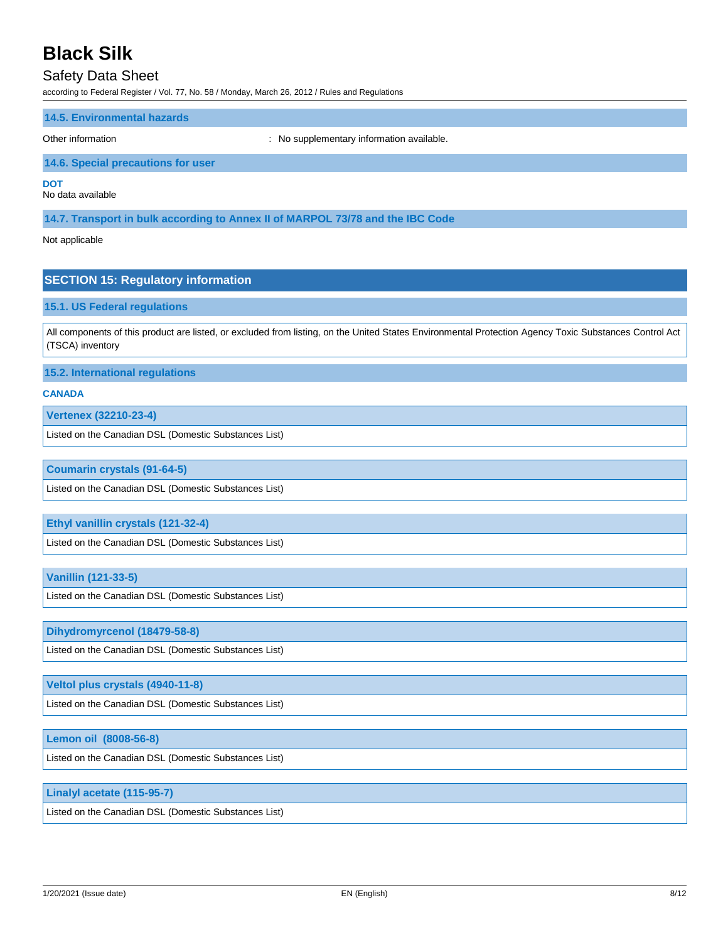## Safety Data Sheet

according to Federal Register / Vol. 77, No. 58 / Monday, March 26, 2012 / Rules and Regulations

#### **14.5. Environmental hazards**

Other information **Other information** : No supplementary information available.

#### **14.6. Special precautions for user**

**DOT**

No data available

**14.7. Transport in bulk according to Annex II of MARPOL 73/78 and the IBC Code**

Not applicable

#### **SECTION 15: Regulatory information**

#### **15.1. US Federal regulations**

All components of this product are listed, or excluded from listing, on the United States Environmental Protection Agency Toxic Substances Control Act (TSCA) inventory

**15.2. International regulations**

#### **CANADA**

**Vertenex (32210-23-4)**

Listed on the Canadian DSL (Domestic Substances List)

#### **Coumarin crystals (91-64-5)**

Listed on the Canadian DSL (Domestic Substances List)

#### **Ethyl vanillin crystals (121-32-4)**

Listed on the Canadian DSL (Domestic Substances List)

#### **Vanillin (121-33-5)**

Listed on the Canadian DSL (Domestic Substances List)

#### **Dihydromyrcenol (18479-58-8)**

Listed on the Canadian DSL (Domestic Substances List)

#### **Veltol plus crystals (4940-11-8)**

Listed on the Canadian DSL (Domestic Substances List)

#### **Lemon oil (8008-56-8)**

Listed on the Canadian DSL (Domestic Substances List)

#### **Linalyl acetate (115-95-7)**

Listed on the Canadian DSL (Domestic Substances List)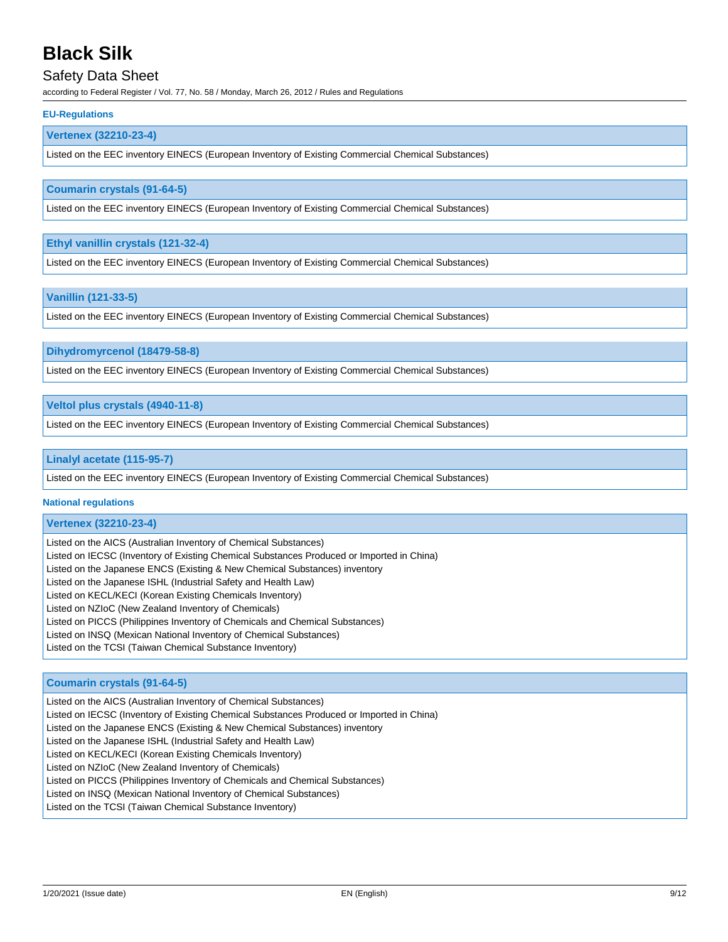### Safety Data Sheet

according to Federal Register / Vol. 77, No. 58 / Monday, March 26, 2012 / Rules and Regulations

#### **EU-Regulations**

#### **Vertenex (32210-23-4)**

Listed on the EEC inventory EINECS (European Inventory of Existing Commercial Chemical Substances)

#### **Coumarin crystals (91-64-5)**

Listed on the EEC inventory EINECS (European Inventory of Existing Commercial Chemical Substances)

#### **Ethyl vanillin crystals (121-32-4)**

Listed on the EEC inventory EINECS (European Inventory of Existing Commercial Chemical Substances)

#### **Vanillin (121-33-5)**

Listed on the EEC inventory EINECS (European Inventory of Existing Commercial Chemical Substances)

**Dihydromyrcenol (18479-58-8)**

Listed on the EEC inventory EINECS (European Inventory of Existing Commercial Chemical Substances)

#### **Veltol plus crystals (4940-11-8)**

Listed on the EEC inventory EINECS (European Inventory of Existing Commercial Chemical Substances)

#### **Linalyl acetate (115-95-7)**

Listed on the EEC inventory EINECS (European Inventory of Existing Commercial Chemical Substances)

#### **National regulations**

#### **Vertenex (32210-23-4)**

Listed on the AICS (Australian Inventory of Chemical Substances) Listed on IECSC (Inventory of Existing Chemical Substances Produced or Imported in China) Listed on the Japanese ENCS (Existing & New Chemical Substances) inventory Listed on the Japanese ISHL (Industrial Safety and Health Law) Listed on KECL/KECI (Korean Existing Chemicals Inventory) Listed on NZIoC (New Zealand Inventory of Chemicals) Listed on PICCS (Philippines Inventory of Chemicals and Chemical Substances) Listed on INSQ (Mexican National Inventory of Chemical Substances) Listed on the TCSI (Taiwan Chemical Substance Inventory)

#### **Coumarin crystals (91-64-5)**

Listed on the AICS (Australian Inventory of Chemical Substances) Listed on IECSC (Inventory of Existing Chemical Substances Produced or Imported in China) Listed on the Japanese ENCS (Existing & New Chemical Substances) inventory Listed on the Japanese ISHL (Industrial Safety and Health Law) Listed on KECL/KECI (Korean Existing Chemicals Inventory) Listed on NZIoC (New Zealand Inventory of Chemicals) Listed on PICCS (Philippines Inventory of Chemicals and Chemical Substances) Listed on INSQ (Mexican National Inventory of Chemical Substances) Listed on the TCSI (Taiwan Chemical Substance Inventory)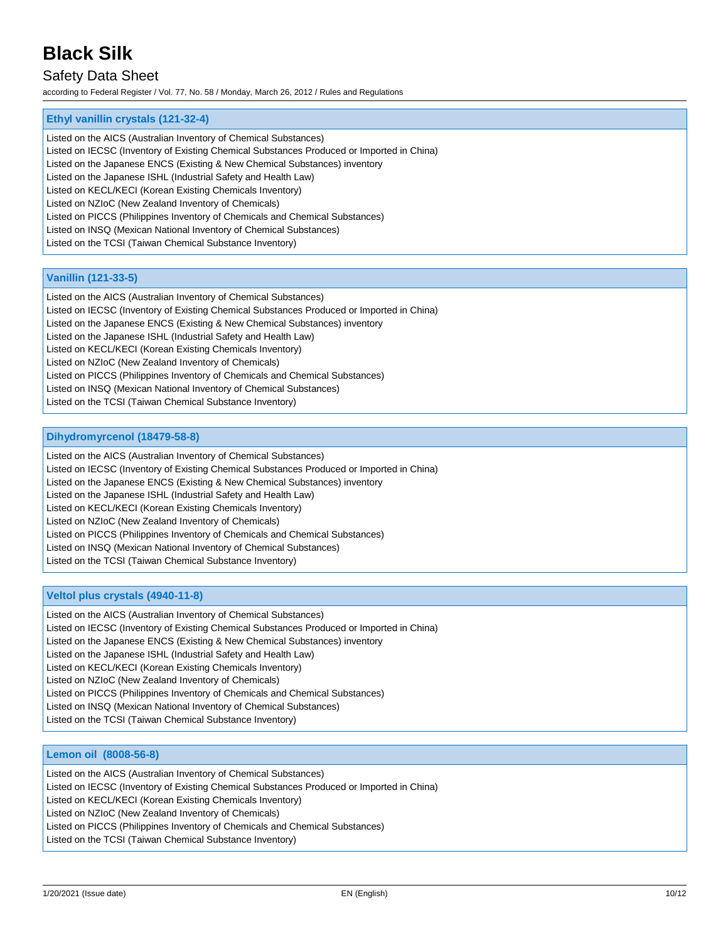## Safety Data Sheet

according to Federal Register / Vol. 77, No. 58 / Monday, March 26, 2012 / Rules and Regulations

### **Ethyl vanillin crystals (121-32-4)**

Listed on the AICS (Australian Inventory of Chemical Substances)

- Listed on IECSC (Inventory of Existing Chemical Substances Produced or Imported in China)
- Listed on the Japanese ENCS (Existing & New Chemical Substances) inventory

Listed on the Japanese ISHL (Industrial Safety and Health Law)

Listed on KECL/KECI (Korean Existing Chemicals Inventory)

Listed on NZIoC (New Zealand Inventory of Chemicals)

Listed on PICCS (Philippines Inventory of Chemicals and Chemical Substances)

Listed on INSQ (Mexican National Inventory of Chemical Substances)

Listed on the TCSI (Taiwan Chemical Substance Inventory)

#### **Vanillin (121-33-5)**

Listed on the AICS (Australian Inventory of Chemical Substances) Listed on IECSC (Inventory of Existing Chemical Substances Produced or Imported in China) Listed on the Japanese ENCS (Existing & New Chemical Substances) inventory Listed on the Japanese ISHL (Industrial Safety and Health Law) Listed on KECL/KECI (Korean Existing Chemicals Inventory) Listed on NZIoC (New Zealand Inventory of Chemicals) Listed on PICCS (Philippines Inventory of Chemicals and Chemical Substances) Listed on INSQ (Mexican National Inventory of Chemical Substances) Listed on the TCSI (Taiwan Chemical Substance Inventory)

#### **Dihydromyrcenol (18479-58-8)**

Listed on the AICS (Australian Inventory of Chemical Substances) Listed on IECSC (Inventory of Existing Chemical Substances Produced or Imported in China) Listed on the Japanese ENCS (Existing & New Chemical Substances) inventory Listed on the Japanese ISHL (Industrial Safety and Health Law) Listed on KECL/KECI (Korean Existing Chemicals Inventory) Listed on NZIoC (New Zealand Inventory of Chemicals) Listed on PICCS (Philippines Inventory of Chemicals and Chemical Substances) Listed on INSQ (Mexican National Inventory of Chemical Substances) Listed on the TCSI (Taiwan Chemical Substance Inventory)

#### **Veltol plus crystals (4940-11-8)**

Listed on the AICS (Australian Inventory of Chemical Substances) Listed on IECSC (Inventory of Existing Chemical Substances Produced or Imported in China) Listed on the Japanese ENCS (Existing & New Chemical Substances) inventory Listed on the Japanese ISHL (Industrial Safety and Health Law) Listed on KECL/KECI (Korean Existing Chemicals Inventory) Listed on NZIoC (New Zealand Inventory of Chemicals) Listed on PICCS (Philippines Inventory of Chemicals and Chemical Substances) Listed on INSQ (Mexican National Inventory of Chemical Substances) Listed on the TCSI (Taiwan Chemical Substance Inventory)

#### **Lemon oil (8008-56-8)**

Listed on the AICS (Australian Inventory of Chemical Substances) Listed on IECSC (Inventory of Existing Chemical Substances Produced or Imported in China) Listed on KECL/KECI (Korean Existing Chemicals Inventory) Listed on NZIoC (New Zealand Inventory of Chemicals) Listed on PICCS (Philippines Inventory of Chemicals and Chemical Substances) Listed on the TCSI (Taiwan Chemical Substance Inventory)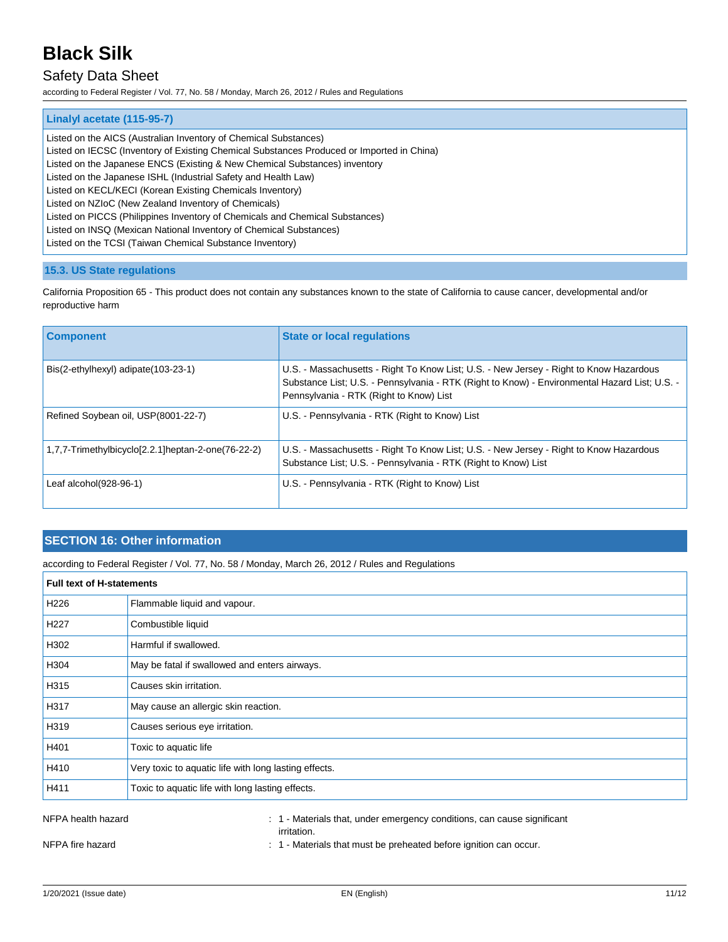### Safety Data Sheet

according to Federal Register / Vol. 77, No. 58 / Monday, March 26, 2012 / Rules and Regulations

| Linalyl acetate (115-95-7)                                                                |
|-------------------------------------------------------------------------------------------|
| Listed on the AICS (Australian Inventory of Chemical Substances)                          |
| Listed on IECSC (Inventory of Existing Chemical Substances Produced or Imported in China) |
| Listed on the Japanese ENCS (Existing & New Chemical Substances) inventory                |
| Listed on the Japanese ISHL (Industrial Safety and Health Law)                            |
| Listed on KECL/KECI (Korean Existing Chemicals Inventory)                                 |
| Listed on NZIoC (New Zealand Inventory of Chemicals)                                      |
| Listed on PICCS (Philippines Inventory of Chemicals and Chemical Substances)              |
| Listed on INSQ (Mexican National Inventory of Chemical Substances)                        |
| Listed on the TCSI (Taiwan Chemical Substance Inventory)                                  |
|                                                                                           |

### **15.3. US State regulations**

California Proposition 65 - This product does not contain any substances known to the state of California to cause cancer, developmental and/or reproductive harm

| <b>Component</b>                                   | <b>State or local regulations</b>                                                                                                                                                                                                  |
|----------------------------------------------------|------------------------------------------------------------------------------------------------------------------------------------------------------------------------------------------------------------------------------------|
| Bis(2-ethylhexyl) adipate(103-23-1)                | U.S. - Massachusetts - Right To Know List; U.S. - New Jersey - Right to Know Hazardous<br>Substance List; U.S. - Pennsylvania - RTK (Right to Know) - Environmental Hazard List; U.S. -<br>Pennsylvania - RTK (Right to Know) List |
| Refined Soybean oil, USP(8001-22-7)                | U.S. - Pennsylvania - RTK (Right to Know) List                                                                                                                                                                                     |
| 1,7,7-Trimethylbicyclo[2.2.1]heptan-2-one(76-22-2) | U.S. - Massachusetts - Right To Know List; U.S. - New Jersey - Right to Know Hazardous<br>Substance List; U.S. - Pennsylvania - RTK (Right to Know) List                                                                           |
| Leaf alcohol(928-96-1)                             | U.S. - Pennsylvania - RTK (Right to Know) List                                                                                                                                                                                     |

### **SECTION 16: Other information**

according to Federal Register / Vol. 77, No. 58 / Monday, March 26, 2012 / Rules and Regulations

| <b>Full text of H-statements</b> |                                                       |
|----------------------------------|-------------------------------------------------------|
| H <sub>226</sub>                 | Flammable liquid and vapour.                          |
| H227                             | Combustible liquid                                    |
| H302                             | Harmful if swallowed.                                 |
| H304                             | May be fatal if swallowed and enters airways.         |
| H315                             | Causes skin irritation.                               |
| H317                             | May cause an allergic skin reaction.                  |
| H319                             | Causes serious eye irritation.                        |
| H401                             | Toxic to aquatic life                                 |
| H410                             | Very toxic to aquatic life with long lasting effects. |
| H411                             | Toxic to aquatic life with long lasting effects.      |
|                                  |                                                       |

NFPA health hazard **in the state of the state of the 1 - Materials that, under emergency conditions, can cause significant** irritation.

NFPA fire hazard **in the state of the state of the state of the state of the state of the state of the state of the state of the state of the state of the state of the state of the state of the state of the state of the st**